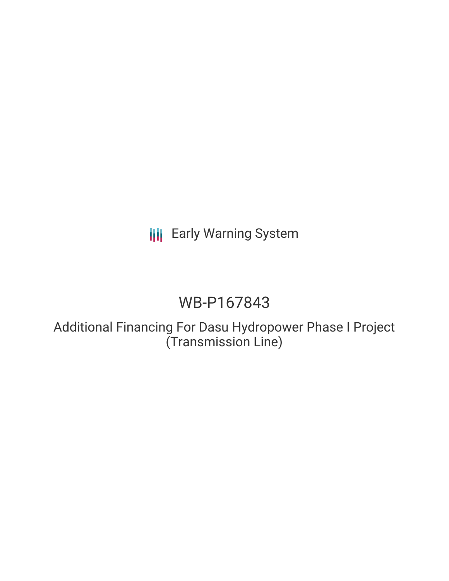# **III** Early Warning System

# WB-P167843

Additional Financing For Dasu Hydropower Phase I Project (Transmission Line)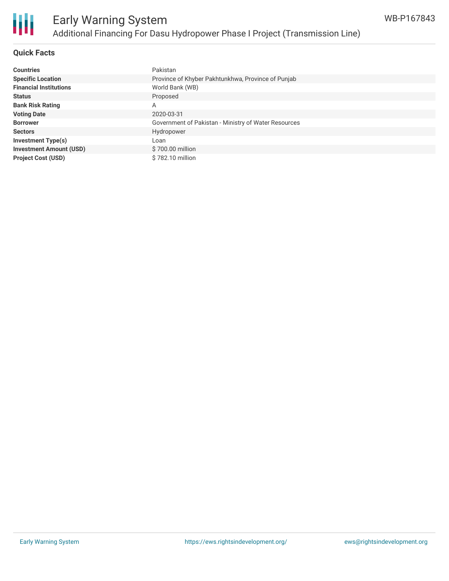

### **Quick Facts**

| <b>Countries</b>               | Pakistan                                             |
|--------------------------------|------------------------------------------------------|
| <b>Specific Location</b>       | Province of Khyber Pakhtunkhwa, Province of Punjab   |
| <b>Financial Institutions</b>  | World Bank (WB)                                      |
| <b>Status</b>                  | Proposed                                             |
| <b>Bank Risk Rating</b>        | Α                                                    |
| <b>Voting Date</b>             | 2020-03-31                                           |
| <b>Borrower</b>                | Government of Pakistan - Ministry of Water Resources |
| <b>Sectors</b>                 | Hydropower                                           |
| <b>Investment Type(s)</b>      | Loan                                                 |
| <b>Investment Amount (USD)</b> | \$700.00 million                                     |
| <b>Project Cost (USD)</b>      | \$782.10 million                                     |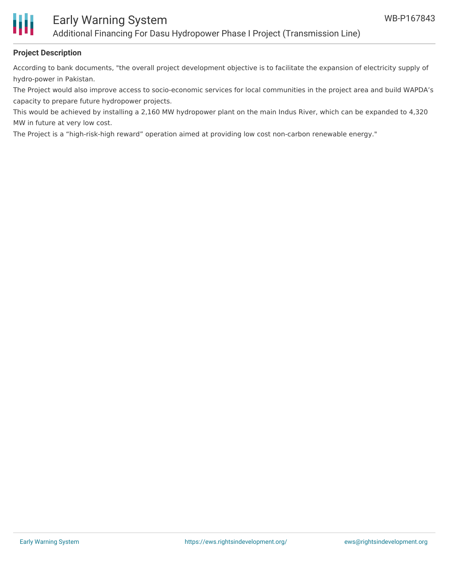

#### **Project Description**

According to bank documents, "the overall project development objective is to facilitate the expansion of electricity supply of hydro-power in Pakistan.

The Project would also improve access to socio-economic services for local communities in the project area and build WAPDA's capacity to prepare future hydropower projects.

This would be achieved by installing a 2,160 MW hydropower plant on the main Indus River, which can be expanded to 4,320 MW in future at very low cost.

The Project is a "high-risk-high reward" operation aimed at providing low cost non-carbon renewable energy."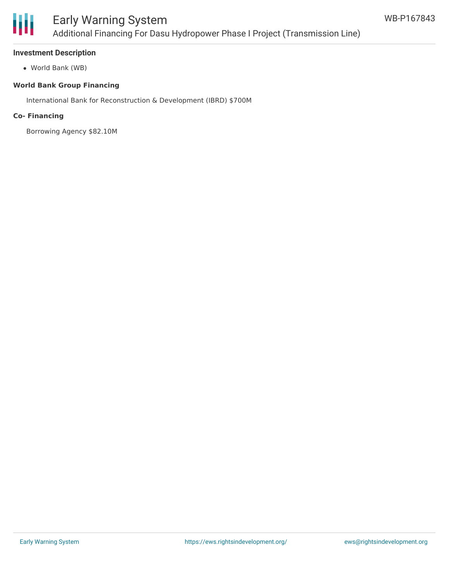

## Early Warning System Additional Financing For Dasu Hydropower Phase I Project (Transmission Line)

#### **Investment Description**

World Bank (WB)

#### **World Bank Group Financing**

International Bank for Reconstruction & Development (IBRD) \$700M

#### **Co- Financing**

Borrowing Agency \$82.10M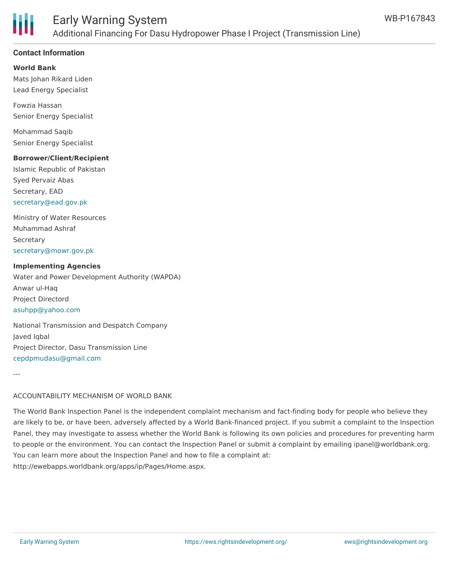

#### **Contact Information**

**World Bank**

Mats Johan Rikard Liden Lead Energy Specialist

Fowzia Hassan Senior Energy Specialist

Mohammad Saqib Senior Energy Specialist

#### **Borrower/Client/Recipient**

Islamic Republic of Pakistan Syed Pervaiz Abas Secretary, EAD [secretary@ead.gov.pk](mailto:secretary@ead.gov.pk)

Ministry of Water Resources Muhammad Ashraf **Secretary** [secretary@mowr.gov.pk](mailto:secretary@mowr.gov.pk)

#### **Implementing Agencies**

Water and Power Development Authority (WAPDA) Anwar ul-Haq Project Directord [asuhpp@yahoo.com](mailto:asuhpp@yahoo.com)

National Transmission and Despatch Company Javed Iqbal Project Director, Dasu Transmission Line [cepdpmudasu@gmail.com](mailto:cepdpmudasu@gmail.com)

---

#### ACCOUNTABILITY MECHANISM OF WORLD BANK

The World Bank Inspection Panel is the independent complaint mechanism and fact-finding body for people who believe they are likely to be, or have been, adversely affected by a World Bank-financed project. If you submit a complaint to the Inspection Panel, they may investigate to assess whether the World Bank is following its own policies and procedures for preventing harm to people or the environment. You can contact the Inspection Panel or submit a complaint by emailing ipanel@worldbank.org. You can learn more about the Inspection Panel and how to file a complaint at: http://ewebapps.worldbank.org/apps/ip/Pages/Home.aspx.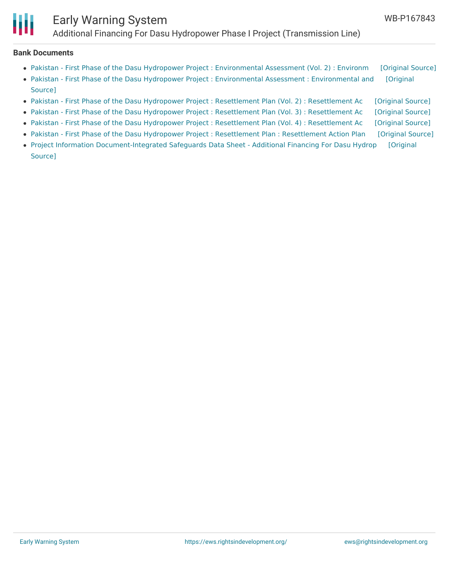### Early Warning System Additional Financing For Dasu Hydropower Phase I Project (Transmission Line)

#### **Bank Documents**

- Pakistan First Phase of the Dasu Hydropower Project : [Environmental](https://ewsdata.rightsindevelopment.org/files/documents/43/WB-P167843_VO2U5bs.pdf) Assessment (Vol. 2) : Environm [\[Original](http://documents.worldbank.org/curated/en/637511574657833157/pdf/Environmental-and-Social-Impact-Assessment-for-Dasu-Transmission-Line-Project-Annexes.pdf) Source]
- Pakistan First Phase of the Dasu Hydropower Project : [Environmental](http://documents.worldbank.org/curated/en/283621574657323856/pdf/Environmental-and-Social-Impact-Assessment-for-Dasu-Transmission-Line-Project-Main-Report.pdf) Assessment : Environmental and [Original Source]
- Pakistan First Phase of the Dasu Hydropower Project : [Resettlement](https://ewsdata.rightsindevelopment.org/files/documents/43/WB-P167843_UMDTzbP.pdf) Plan (Vol. 2) : Resettlement Ac [\[Original](http://documents.worldbank.org/curated/en/314591574336977431/pdf/Resettlement-Action-Plan-for-Dasu-Transmission-Line-Annexes.pdf) Source]
- Pakistan First Phase of the Dasu Hydropower Project : [Resettlement](https://ewsdata.rightsindevelopment.org/files/documents/43/WB-P167843_CFuiWv5.pdf) Plan (Vol. 3) : Resettlement Ac [\[Original](http://documents.worldbank.org/curated/en/786551574337412038/pdf/Resettlement-Action-Plan-for-765KV-Manshera-Grid-Station.pdf) Source]
- Pakistan First Phase of the Dasu Hydropower Project : [Resettlement](https://ewsdata.rightsindevelopment.org/files/documents/43/WB-P167843_h0ZUCsR.pdf) Plan (Vol. 4) : Resettlement Ac [\[Original](http://documents.worldbank.org/curated/en/768861574338523570/pdf/Resettlement-Action-Plan-for-Manshera-Grid-Station-Annexes.pdf) Source]
- Pakistan First Phase of the Dasu Hydropower Project : [Resettlement](https://ewsdata.rightsindevelopment.org/files/documents/43/WB-P167843_zZ6xL2B.pdf) Plan : Resettlement Action Plan [\[Original](http://documents.worldbank.org/curated/en/768721574335736702/pdf/Resettlement-Action-Plan-for-765KV-Dasu-Transmission-Line-Project.pdf) Source]
- Project Information [Document-Integrated](http://documents.worldbank.org/curated/en/394751582532536169/pdf/Project-Information-Document-Integrated-Safeguards-Data-Sheet-Additional-Financing-For-Dasu-Hydropower-Phase-I-Project-Transmission-Line-P167843.pdf) Safeguards Data Sheet Additional Financing For Dasu Hydrop [Original Source]